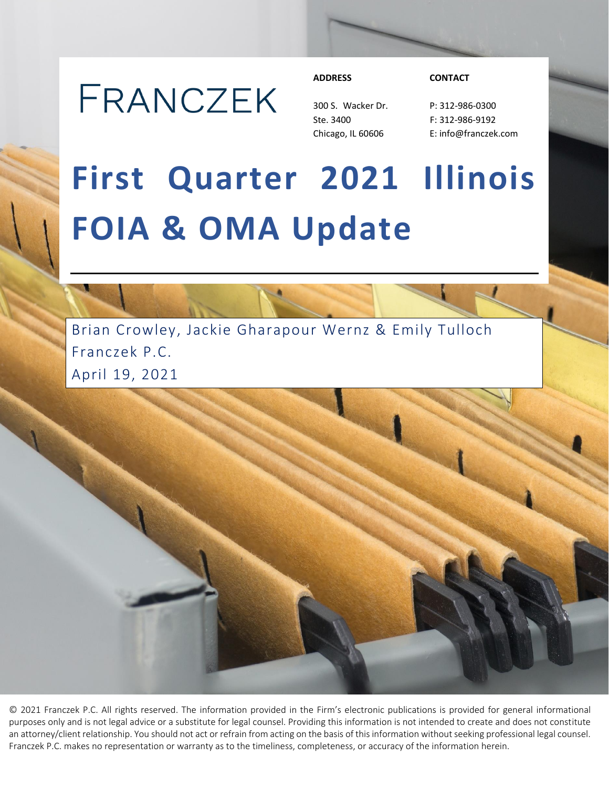# FRANCZEK

300 S. Wacker Dr. P: 312-986-0300 Ste. 3400 F: 312-986-9192

#### **ADDRESS CONTACT**

Chicago, IL 60606 E: info@franczek.com

# **First Quarter 2021 Illinois FOIA & OMA Update**

Brian Crowley, Jackie Gharapour Wernz & Emily Tulloch Franczek P.C. April 19, 2021

© 2021 Franczek P.C. All rights reserved. The information provided in the Firm's electronic publications is provided for general informational purposes only and is not legal advice or a substitute for legal counsel. Providing this information is not intended to create and does not constitute an attorney/client relationship. You should not act or refrain from acting on the basis of this information without seeking professional legal counsel. Franczek P.C. makes no representation or warranty as to the timeliness, completeness, or accuracy of the information herein.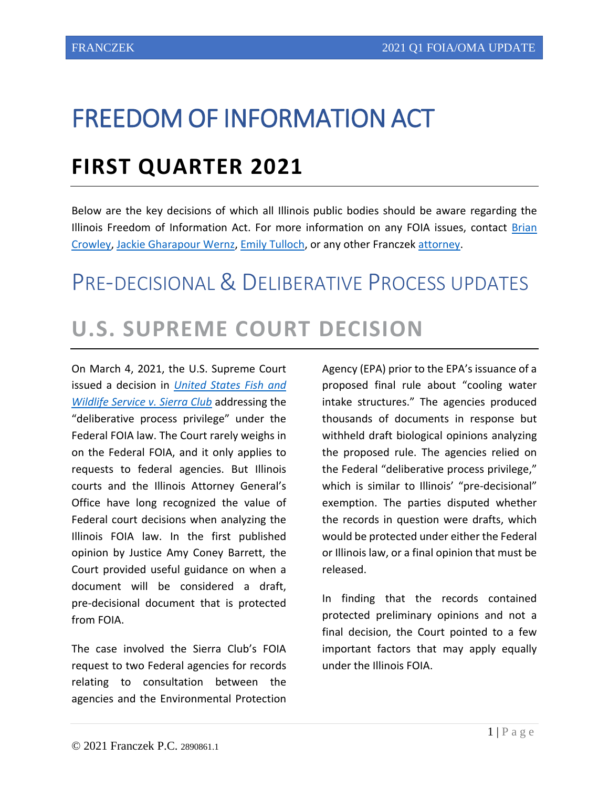## FREEDOM OF INFORMATION ACT

### **FIRST QUARTER 2021**

Below are the key decisions of which all Illinois public bodies should be aware regarding the Illinois Freedom of Information Act. For more information on any FOIA issues, contact [Brian](https://www.franczek.com/attorneys/crowley-brian-p/)  [Crowley,](https://www.franczek.com/attorneys/crowley-brian-p/) [Jackie Gharapour Wernz,](https://www.franczek.com/attorneys/wernz-jackie-gharapour/) [Emily Tulloch,](https://www.franczek.com/attorneys/emily-tulloch-2/) or any other Francze[k attorney.](https://www.franczek.com/attorneys/)

# PRE-DECISIONAL & DELIBERATIVE PROCESS UPDATES **U.S. SUPREME COURT DECISION**

On March 4, 2021, the U.S. Supreme Court issued a decision in *[United States Fish and](https://www.supremecourt.gov/opinions/20pdf/19-547_08m1.pdf)  [Wildlife Service v. Sierra Club](https://www.supremecourt.gov/opinions/20pdf/19-547_08m1.pdf)* addressing the "deliberative process privilege" under the Federal FOIA law. The Court rarely weighs in on the Federal FOIA, and it only applies to requests to federal agencies. But Illinois courts and the Illinois Attorney General's Office have long recognized the value of Federal court decisions when analyzing the Illinois FOIA law. In the first published opinion by Justice Amy Coney Barrett, the Court provided useful guidance on when a document will be considered a draft, pre-decisional document that is protected from FOIA.

The case involved the Sierra Club's FOIA request to two Federal agencies for records relating to consultation between the agencies and the Environmental Protection Agency (EPA) prior to the EPA's issuance of a proposed final rule about "cooling water intake structures." The agencies produced thousands of documents in response but withheld draft biological opinions analyzing the proposed rule. The agencies relied on the Federal "deliberative process privilege," which is similar to Illinois' "pre-decisional" exemption. The parties disputed whether the records in question were drafts, which would be protected under either the Federal or Illinois law, or a final opinion that must be released.

In finding that the records contained protected preliminary opinions and not a final decision, the Court pointed to a few important factors that may apply equally under the Illinois FOIA.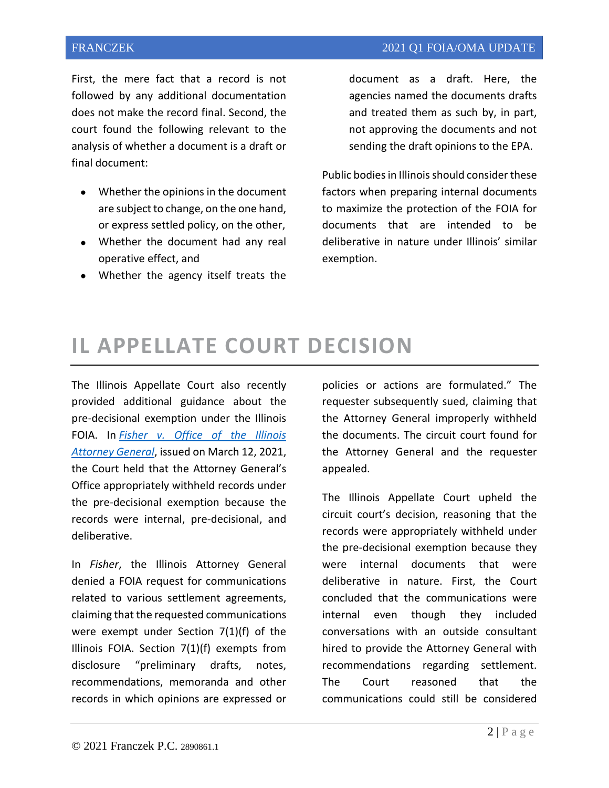First, the mere fact that a record is not followed by any additional documentation does not make the record final. Second, the court found the following relevant to the analysis of whether a document is a draft or final document:

- Whether the opinions in the document are subject to change, on the one hand, or express settled policy, on the other,
- Whether the document had any real operative effect, and
- Whether the agency itself treats the

document as a draft. Here, the agencies named the documents drafts and treated them as such by, in part, not approving the documents and not sending the draft opinions to the EPA.

Public bodies in Illinois should consider these factors when preparing internal documents to maximize the protection of the FOIA for documents that are intended to be deliberative in nature under Illinois' similar exemption.

#### **IL APPELLATE COURT DECISION**

The Illinois Appellate Court also recently provided additional guidance about the pre-decisional exemption under the Illinois FOIA. In *[Fisher v. Office of the Illinois](https://courts.illinois.gov/Opinions/AppellateCourt/2021/1stDistrict/1200225.pdf)  [Attorney General](https://courts.illinois.gov/Opinions/AppellateCourt/2021/1stDistrict/1200225.pdf)*, issued on March 12, 2021, the Court held that the Attorney General's Office appropriately withheld records under the pre-decisional exemption because the records were internal, pre-decisional, and deliberative.

In *Fisher*, the Illinois Attorney General denied a FOIA request for communications related to various settlement agreements, claiming that the requested communications were exempt under Section 7(1)(f) of the Illinois FOIA. Section 7(1)(f) exempts from disclosure "preliminary drafts, notes, recommendations, memoranda and other records in which opinions are expressed or

policies or actions are formulated." The requester subsequently sued, claiming that the Attorney General improperly withheld the documents. The circuit court found for the Attorney General and the requester appealed.

The Illinois Appellate Court upheld the circuit court's decision, reasoning that the records were appropriately withheld under the pre-decisional exemption because they were internal documents that were deliberative in nature. First, the Court concluded that the communications were internal even though they included conversations with an outside consultant hired to provide the Attorney General with recommendations regarding settlement. The Court reasoned that the communications could still be considered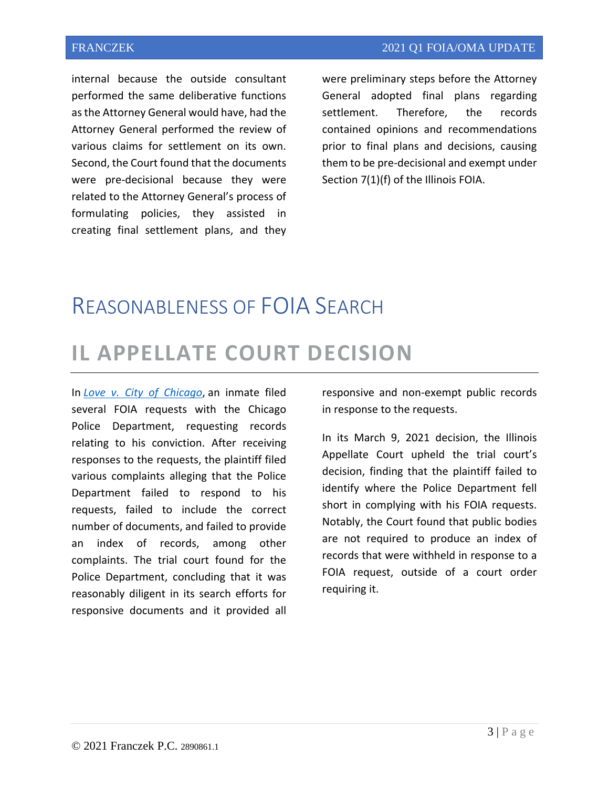internal because the outside consultant performed the same deliberative functions as the Attorney General would have, had the Attorney General performed the review of various claims for settlement on its own. Second, the Court found that the documents were pre-decisional because they were related to the Attorney General's process of formulating policies, they assisted in creating final settlement plans, and they

were preliminary steps before the Attorney General adopted final plans regarding settlement. Therefore, the records contained opinions and recommendations prior to final plans and decisions, causing them to be pre-decisional and exempt under Section 7(1)(f) of the Illinois FOIA.

#### REASONABLENESS OF FOIA SEARCH

#### **IL APPELLATE COURT DECISION**

In *[Love v. City of Chicago](https://courts.illinois.gov/R23_Orders/AppellateCourt/2021/1stDistrict/1192268_R23.pdf)*, an inmate filed several FOIA requests with the Chicago Police Department, requesting records relating to his conviction. After receiving responses to the requests, the plaintiff filed various complaints alleging that the Police Department failed to respond to his requests, failed to include the correct number of documents, and failed to provide an index of records, among other complaints. The trial court found for the Police Department, concluding that it was reasonably diligent in its search efforts for responsive documents and it provided all

responsive and non-exempt public records in response to the requests.

In its March 9, 2021 decision, the Illinois Appellate Court upheld the trial court's decision, finding that the plaintiff failed to identify where the Police Department fell short in complying with his FOIA requests. Notably, the Court found that public bodies are not required to produce an index of records that were withheld in response to a FOIA request, outside of a court order requiring it.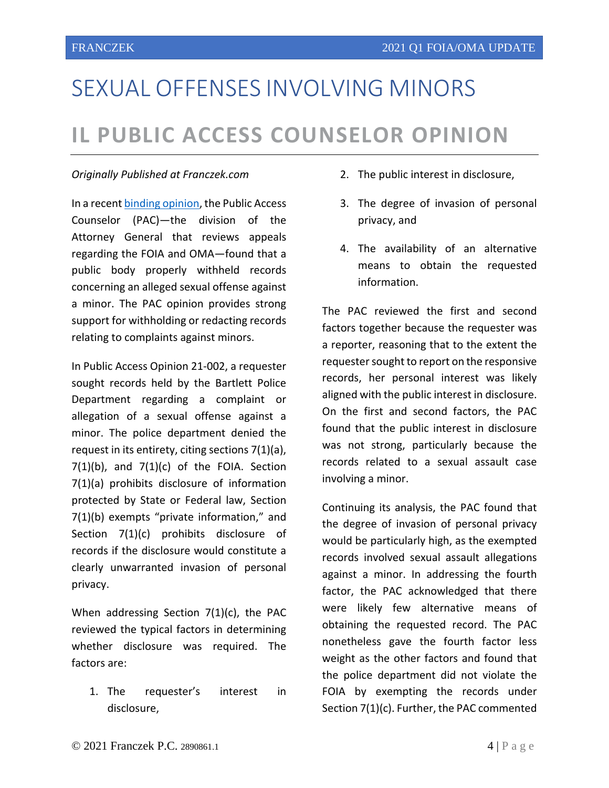## SEXUAL OFFENSES INVOLVING MINORS **IL PUBLIC ACCESS COUNSELOR OPINION**

#### *Originally Published at Franczek.com*

In a recent [binding opinion,](http://foia.ilattorneygeneral.net/pdf/opinions/2021/21-002.pdf) the Public Access Counselor (PAC)—the division of the Attorney General that reviews appeals regarding the FOIA and OMA—found that a public body properly withheld records concerning an alleged sexual offense against a minor. The PAC opinion provides strong support for withholding or redacting records relating to complaints against minors.

In Public Access Opinion 21-002, a requester sought records held by the Bartlett Police Department regarding a complaint or allegation of a sexual offense against a minor. The police department denied the request in its entirety, citing sections 7(1)(a),  $7(1)(b)$ , and  $7(1)(c)$  of the FOIA. Section 7(1)(a) prohibits disclosure of information protected by State or Federal law, Section 7(1)(b) exempts "private information," and Section 7(1)(c) prohibits disclosure of records if the disclosure would constitute a clearly unwarranted invasion of personal privacy.

When addressing Section 7(1)(c), the PAC reviewed the typical factors in determining whether disclosure was required. The factors are:

1. The requester's interest in disclosure,

- 2. The public interest in disclosure,
- 3. The degree of invasion of personal privacy, and
- 4. The availability of an alternative means to obtain the requested information.

The PAC reviewed the first and second factors together because the requester was a reporter, reasoning that to the extent the requester sought to report on the responsive records, her personal interest was likely aligned with the public interest in disclosure. On the first and second factors, the PAC found that the public interest in disclosure was not strong, particularly because the records related to a sexual assault case involving a minor.

Continuing its analysis, the PAC found that the degree of invasion of personal privacy would be particularly high, as the exempted records involved sexual assault allegations against a minor. In addressing the fourth factor, the PAC acknowledged that there were likely few alternative means of obtaining the requested record. The PAC nonetheless gave the fourth factor less weight as the other factors and found that the police department did not violate the FOIA by exempting the records under Section 7(1)(c). Further, the PAC commented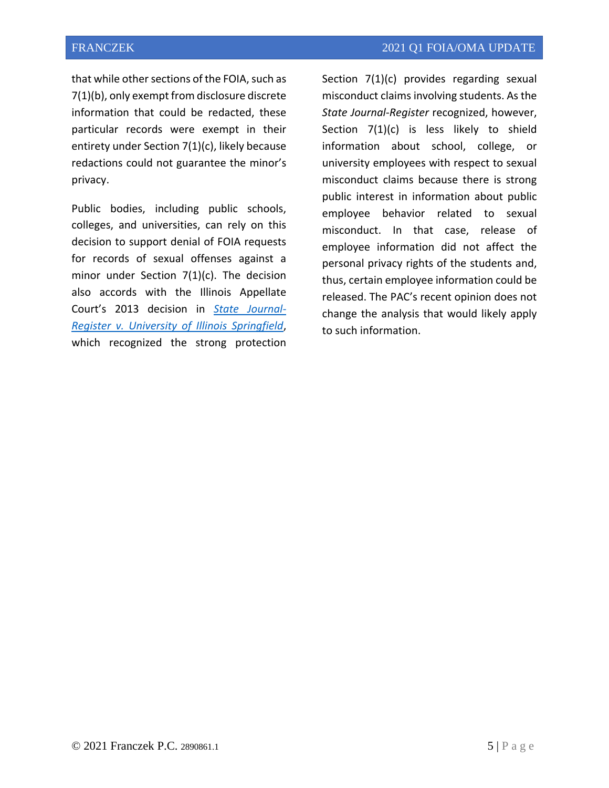that while other sections of the FOIA, such as 7(1)(b), only exempt from disclosure discrete information that could be redacted, these particular records were exempt in their entirety under Section 7(1)(c), likely because redactions could not guarantee the minor's privacy.

Public bodies, including public schools, colleges, and universities, can rely on this decision to support denial of FOIA requests for records of sexual offenses against a minor under Section 7(1)(c). The decision also accords with the Illinois Appellate Court's 2013 decision in *[State Journal-](https://courts.illinois.gov/Opinions/AppellateCourt/2013/4thDistrict/4120881.pdf)[Register v. University of Illinois Springfield](https://courts.illinois.gov/Opinions/AppellateCourt/2013/4thDistrict/4120881.pdf)*, which recognized the strong protection Section 7(1)(c) provides regarding sexual misconduct claims involving students. As the *State Journal-Register* recognized, however, Section 7(1)(c) is less likely to shield information about school, college, or university employees with respect to sexual misconduct claims because there is strong public interest in information about public employee behavior related to sexual misconduct. In that case, release of employee information did not affect the personal privacy rights of the students and, thus, certain employee information could be released. The PAC's recent opinion does not change the analysis that would likely apply to such information.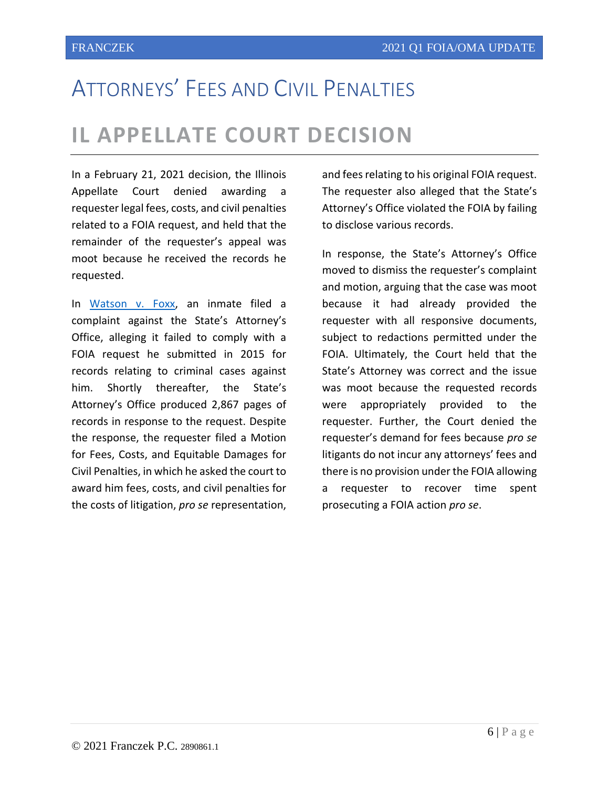## ATTORNEYS' FEES AND CIVIL PENALTIES

#### **IL APPELLATE COURT DECISION**

In a February 21, 2021 decision, the Illinois Appellate Court denied awarding a requester legal fees, costs, and civil penalties related to a FOIA request, and held that the remainder of the requester's appeal was moot because he received the records he requested.

In [Watson v. Foxx,](https://courts.illinois.gov/R23_Orders/AppellateCourt/2021/1stDistrict/1200424_R23.pdf) an inmate filed a complaint against the State's Attorney's Office, alleging it failed to comply with a FOIA request he submitted in 2015 for records relating to criminal cases against him. Shortly thereafter, the State's Attorney's Office produced 2,867 pages of records in response to the request. Despite the response, the requester filed a Motion for Fees, Costs, and Equitable Damages for Civil Penalties, in which he asked the court to award him fees, costs, and civil penalties for the costs of litigation, *pro se* representation,

and fees relating to his original FOIA request. The requester also alleged that the State's Attorney's Office violated the FOIA by failing to disclose various records.

In response, the State's Attorney's Office moved to dismiss the requester's complaint and motion, arguing that the case was moot because it had already provided the requester with all responsive documents, subject to redactions permitted under the FOIA. Ultimately, the Court held that the State's Attorney was correct and the issue was moot because the requested records were appropriately provided to the requester. Further, the Court denied the requester's demand for fees because *pro se* litigants do not incur any attorneys' fees and there is no provision under the FOIA allowing a requester to recover time spent prosecuting a FOIA action *pro se*.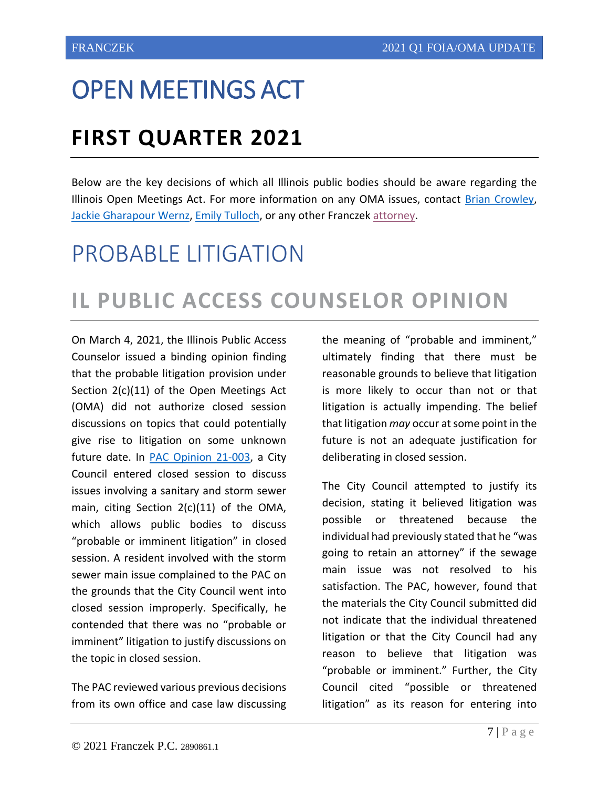## OPEN MEETINGS ACT

### **FIRST QUARTER 2021**

Below are the key decisions of which all Illinois public bodies should be aware regarding the Illinois Open Meetings Act. For more information on any OMA issues, contact [Brian Crowley,](https://www.franczek.com/attorneys/crowley-brian-p/) [Jackie Gharapour Wernz,](https://www.franczek.com/attorneys/wernz-jackie-gharapour/) [Emily Tulloch,](https://www.franczek.com/attorneys/emily-tulloch-2/) or any other Franczek [attorney.](https://www.franczek.com/attorneys/)

### PROBABLE LITIGATION

### **IL PUBLIC ACCESS COUNSELOR OPINION**

On March 4, 2021, the Illinois Public Access Counselor issued a binding opinion finding that the probable litigation provision under Section 2(c)(11) of the Open Meetings Act (OMA) did not authorize closed session discussions on topics that could potentially give rise to litigation on some unknown future date. In [PAC Opinion 21-003,](http://foia.ilattorneygeneral.net/pdf/opinions/2021/21-003.pdf) a City Council entered closed session to discuss issues involving a sanitary and storm sewer main, citing Section 2(c)(11) of the OMA, which allows public bodies to discuss "probable or imminent litigation" in closed session. A resident involved with the storm sewer main issue complained to the PAC on the grounds that the City Council went into closed session improperly. Specifically, he contended that there was no "probable or imminent" litigation to justify discussions on the topic in closed session.

The PAC reviewed various previous decisions from its own office and case law discussing the meaning of "probable and imminent," ultimately finding that there must be reasonable grounds to believe that litigation is more likely to occur than not or that litigation is actually impending. The belief that litigation *may* occur at some point in the future is not an adequate justification for deliberating in closed session.

The City Council attempted to justify its decision, stating it believed litigation was possible or threatened because the individual had previously stated that he "was going to retain an attorney" if the sewage main issue was not resolved to his satisfaction. The PAC, however, found that the materials the City Council submitted did not indicate that the individual threatened litigation or that the City Council had any reason to believe that litigation was "probable or imminent." Further, the City Council cited "possible or threatened litigation" as its reason for entering into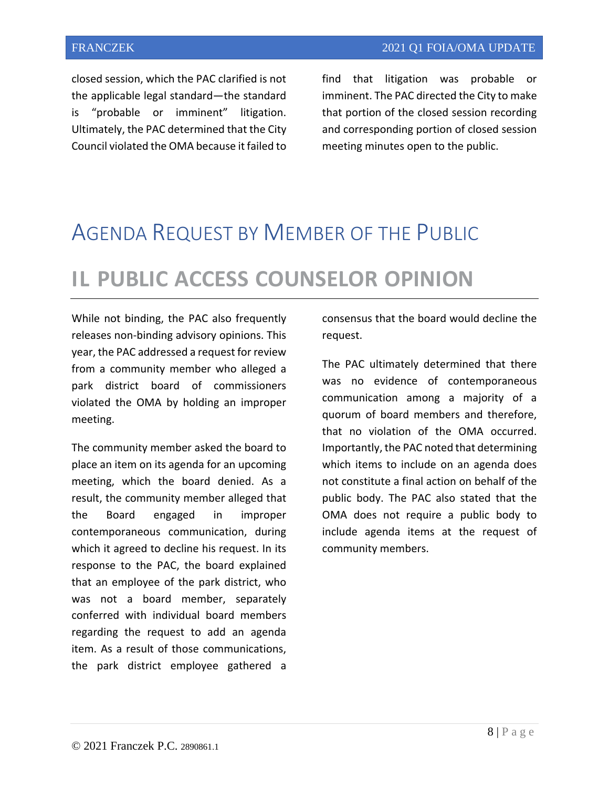closed session, which the PAC clarified is not the applicable legal standard—the standard is "probable or imminent" litigation. Ultimately, the PAC determined that the City Council violated the OMA because it failed to

find that litigation was probable or imminent. The PAC directed the City to make that portion of the closed session recording and corresponding portion of closed session meeting minutes open to the public.

#### AGENDA REQUEST BY MEMBER OF THE PUBLIC

### **IL PUBLIC ACCESS COUNSELOR OPINION**

While not binding, the PAC also frequently releases non-binding advisory opinions. This year, the PAC addressed a request for review from a community member who alleged a park district board of commissioners violated the OMA by holding an improper meeting.

The community member asked the board to place an item on its agenda for an upcoming meeting, which the board denied. As a result, the community member alleged that the Board engaged in improper contemporaneous communication, during which it agreed to decline his request. In its response to the PAC, the board explained that an employee of the park district, who was not a board member, separately conferred with individual board members regarding the request to add an agenda item. As a result of those communications, the park district employee gathered a consensus that the board would decline the request.

The PAC ultimately determined that there was no evidence of contemporaneous communication among a majority of a quorum of board members and therefore, that no violation of the OMA occurred. Importantly, the PAC noted that determining which items to include on an agenda does not constitute a final action on behalf of the public body. The PAC also stated that the OMA does not require a public body to include agenda items at the request of community members.